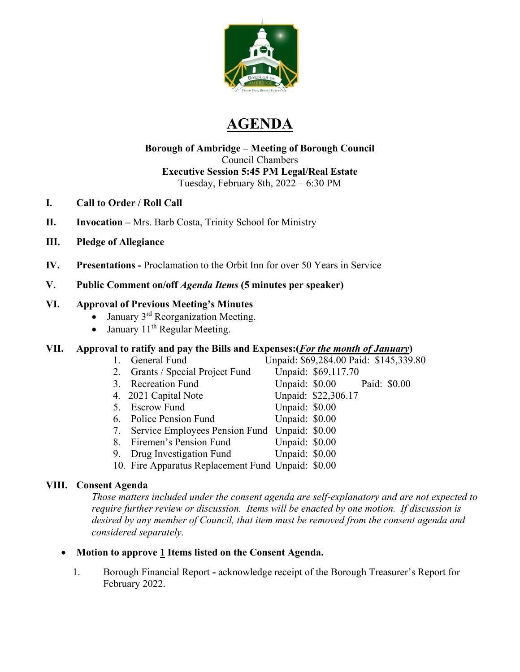

# **AGENDA**

### **Borough of Ambridge – Meeting of Borough Council** Council Chambers **Executive Session 5:45 PM Legal/Real Estate** Tuesday, February 8th, 2022 – 6:30 PM

- **I. Call to Order / Roll Call**
- **II. Invocation –** Mrs. Barb Costa, Trinity School for Ministry
- **III. Pledge of Allegiance**
- **IV. Presentations -** Proclamation to the Orbit Inn for over 50 Years in Service

# **V. Public Comment on/off** *Agenda Items* **(5 minutes per speaker)**

# **VI. Approval of Previous Meeting's Minutes**

- January 3<sup>rd</sup> Reorganization Meeting.
- January  $11<sup>th</sup>$  Regular Meeting.

# **VII. Approval to ratify and pay the Bills and Expenses:**(*For the month of January*)<br>1. General Fund Unpaid: \$69,284.00 Paid: \$145,339

- 
- 2. Grants / Special Project Fund Unpaid: \$69,117.70
- 
- 
- 5. Escrow Fund
- 6. Police Pension Fund Unpaid: \$0.00
- 7. Service Employees Pension Fund Unpaid: \$0.00
- 8. Firemen's Pension Fund Unpaid: \$0.00
- 9. Drug Investigation Fund Unpaid: \$0.00
- 10. Fire Apparatus Replacement Fund Unpaid: \$0.00

# **VIII. Consent Agenda**

*Those matters included under the consent agenda are self-explanatory and are not expected to require further review or discussion. Items will be enacted by one motion. If discussion is desired by any member of Council, that item must be removed from the consent agenda and considered separately.* 

# • **Motion to approve 1 Items listed on the Consent Agenda.**

1. Borough Financial Report **-** acknowledge receipt of the Borough Treasurer's Report for February 2022.

- Unpaid: \$69,284.00 Paid: \$145,339.80 3. Recreation Fund Unpaid: \$0.00 Paid: \$0.00 4. 2021 Capital Note Unpaid: \$22,306.17<br>5. Escrow Fund Unpaid: \$0.00
	-
	-
-